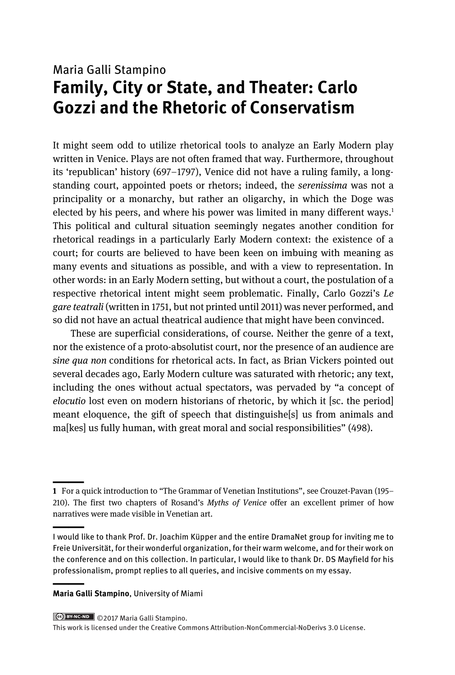## Maria Galli Stampino **Family, City or State, and Theater: Carlo Gozzi and the Rhetoric of Conservatism**

It might seem odd to utilize rhetorical tools to analyze an Early Modern play written in Venice. Plays are not often framed that way. Furthermore, throughout its 'republican' history (697–1797), Venice did not have a ruling family, a longstanding court, appointed poets or rhetors; indeed, the *serenissima* was not a principality or a monarchy, but rather an oligarchy, in which the Doge was elected by his peers, and where his power was limited in many different ways.<sup>1</sup> This political and cultural situation seemingly negates another condition for rhetorical readings in a particularly Early Modern context: the existence of a court; for courts are believed to have been keen on imbuing with meaning as many events and situations as possible, and with a view to representation. In other words: in an Early Modern setting, but without a court, the postulation of a respective rhetorical intent might seem problematic. Finally, Carlo Gozzi's *Le gare teatrali* (written in 1751, but not printed until 2011) was never performed, and so did not have an actual theatrical audience that might have been convinced.

 These are superficial considerations, of course. Neither the genre of a text, nor the existence of a proto-absolutist court, nor the presence of an audience are *sine qua non* conditions for rhetorical acts. In fact, as Brian Vickers pointed out several decades ago, Early Modern culture was saturated with rhetoric; any text, including the ones without actual spectators, was pervaded by "a concept of *elocutio* lost even on modern historians of rhetoric, by which it [sc. the period] meant eloquence, the gift of speech that distinguishe[s] us from animals and ma[kes] us fully human, with great moral and social responsibilities" (498).

#### **Maria Galli Stampino**, University of Miami

©2017 Maria Galli Stampino.

This work is licensed under the Creative Commons Attribution-NonCommercial-NoDerivs 3.0 License.

<sup>||</sup>  **1** For a quick introduction to "The Grammar of Venetian Institutions", see Crouzet-Pavan (195– 210). The first two chapters of Rosand's *Myths of Venice* offer an excellent primer of how narratives were made visible in Venetian art.

<sup>————</sup> I would like to thank Prof. Dr. Joachim Küpper and the entire DramaNet group for inviting me to Freie Universität, for their wonderful organization, for their warm welcome, and for their work on the conference and on this collection. In particular, I would like to thank Dr. DS Mayfield for his professionalism, prompt replies to all queries, and incisive comments on my essay.<br>————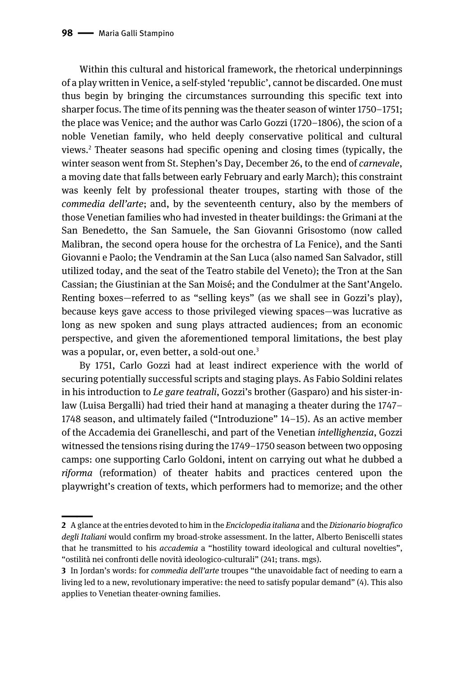Within this cultural and historical framework, the rhetorical underpinnings of a play written in Venice, a self-styled 'republic', cannot be discarded. One must thus begin by bringing the circumstances surrounding this specific text into sharper focus. The time of its penning was the theater season of winter 1750–1751; the place was Venice; and the author was Carlo Gozzi (1720–1806), the scion of a noble Venetian family, who held deeply conservative political and cultural views.<sup>2</sup> Theater seasons had specific opening and closing times (typically, the winter season went from St. Stephen's Day, December 26, to the end of *carnevale*, a moving date that falls between early February and early March); this constraint was keenly felt by professional theater troupes, starting with those of the *commedia dell'arte*; and, by the seventeenth century, also by the members of those Venetian families who had invested in theater buildings: the Grimani at the San Benedetto, the San Samuele, the San Giovanni Grisostomo (now called Malibran, the second opera house for the orchestra of La Fenice), and the Santi Giovanni e Paolo; the Vendramin at the San Luca (also named San Salvador, still utilized today, and the seat of the Teatro stabile del Veneto); the Tron at the San Cassian; the Giustinian at the San Moisé; and the Condulmer at the Sant'Angelo. Renting boxes—referred to as "selling keys" (as we shall see in Gozzi's play), because keys gave access to those privileged viewing spaces—was lucrative as long as new spoken and sung plays attracted audiences; from an economic perspective, and given the aforementioned temporal limitations, the best play was a popular, or, even better, a sold-out one.<sup>3</sup>

By 1751, Carlo Gozzi had at least indirect experience with the world of securing potentially successful scripts and staging plays. As Fabio Soldini relates in his introduction to *Le gare teatrali*, Gozzi's brother (Gasparo) and his sister-inlaw (Luisa Bergalli) had tried their hand at managing a theater during the 1747– 1748 season, and ultimately failed ("Introduzione" 14–15). As an active member of the Accademia dei Granelleschi, and part of the Venetian *intellighenzia*, Gozzi witnessed the tensions rising during the 1749–1750 season between two opposing camps: one supporting Carlo Goldoni, intent on carrying out what he dubbed a *riforma* (reformation) of theater habits and practices centered upon the playwright's creation of texts, which performers had to memorize; and the other

<sup>||</sup>  **2** A glance at the entries devoted to him in the *Enciclopedia italiana* and the *Dizionario biografico degli Italiani* would confirm my broad-stroke assessment. In the latter, Alberto Beniscelli states that he transmitted to his *accademia* a "hostility toward ideological and cultural novelties", "ostilità nei confronti delle novità ideologico-culturali" (241; trans. mgs).

**<sup>3</sup>** In Jordan's words: for *commedia dell'arte* troupes "the unavoidable fact of needing to earn a living led to a new, revolutionary imperative: the need to satisfy popular demand" (4). This also applies to Venetian theater-owning families.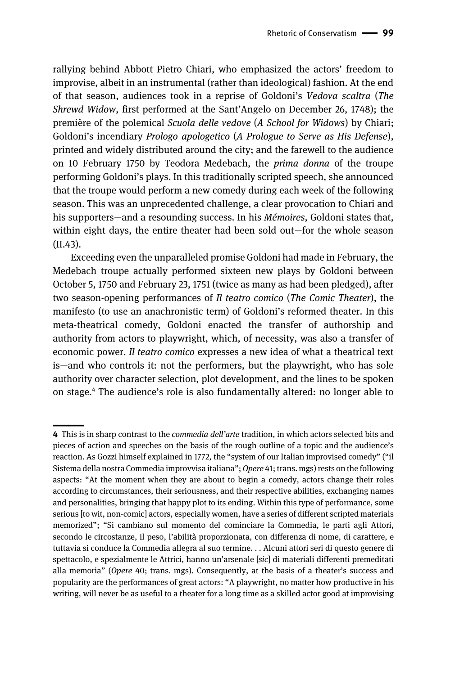rallying behind Abbott Pietro Chiari, who emphasized the actors' freedom to improvise, albeit in an instrumental (rather than ideological) fashion. At the end of that season, audiences took in a reprise of Goldoni's *Vedova scaltra* (*The Shrewd Widow*, first performed at the Sant'Angelo on December 26, 1748); the première of the polemical *Scuola delle vedove* (*A School for Widows*) by Chiari; Goldoni's incendiary *Prologo apologetico* (*A Prologue to Serve as His Defense*), printed and widely distributed around the city; and the farewell to the audience on 10 February 1750 by Teodora Medebach, the *prima donna* of the troupe performing Goldoni's plays. In this traditionally scripted speech, she announced that the troupe would perform a new comedy during each week of the following season. This was an unprecedented challenge, a clear provocation to Chiari and his supporters—and a resounding success. In his *Mémoires*, Goldoni states that, within eight days, the entire theater had been sold out—for the whole season (II.43).

 Exceeding even the unparalleled promise Goldoni had made in February, the Medebach troupe actually performed sixteen new plays by Goldoni between October 5, 1750 and February 23, 1751 (twice as many as had been pledged), after two season-opening performances of *Il teatro comico* (*The Comic Theater*), the manifesto (to use an anachronistic term) of Goldoni's reformed theater. In this meta-theatrical comedy, Goldoni enacted the transfer of authorship and authority from actors to playwright, which, of necessity, was also a transfer of economic power. *Il teatro comico* expresses a new idea of what a theatrical text is—and who controls it: not the performers, but the playwright, who has sole authority over character selection, plot development, and the lines to be spoken on stage.<sup>4</sup> The audience's role is also fundamentally altered: no longer able to

<sup>————</sup> **4** This is in sharp contrast to the *commedia dell'arte* tradition, in which actors selected bits and pieces of action and speeches on the basis of the rough outline of a topic and the audience's reaction. As Gozzi himself explained in 1772, the "system of our Italian improvised comedy" ("il Sistema della nostra Commedia improvvisa italiana"; *Opere* 41; trans. mgs) rests on the following aspects: "At the moment when they are about to begin a comedy, actors change their roles according to circumstances, their seriousness, and their respective abilities, exchanging names and personalities, bringing that happy plot to its ending. Within this type of performance, some serious [to wit, non-comic] actors, especially women, have a series of different scripted materials memorized"; "Si cambiano sul momento del cominciare la Commedia, le parti agli Attori, secondo le circostanze, il peso, l'abilità proporzionata, con differenza di nome, di carattere, e tuttavia si conduce la Commedia allegra al suo termine. . . Alcuni attori seri di questo genere di spettacolo, e spezialmente le Attrici, hanno un'arsenale [*sic*] di materiali differenti premeditati alla memoria" (*Opere* 40; trans. mgs). Consequently, at the basis of a theater's success and popularity are the performances of great actors: "A playwright, no matter how productive in his writing, will never be as useful to a theater for a long time as a skilled actor good at improvising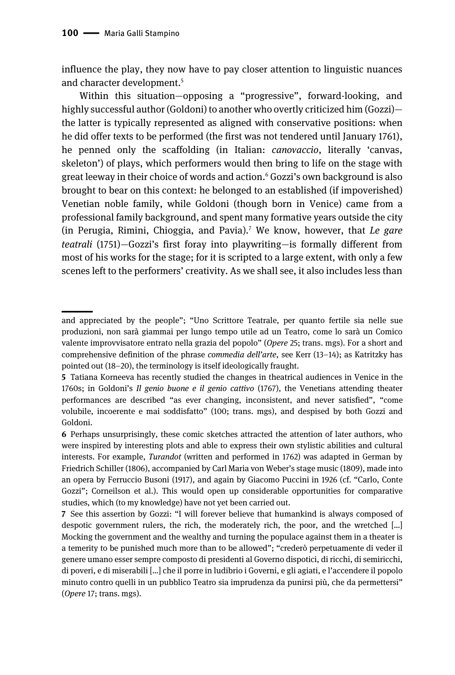influence the play, they now have to pay closer attention to linguistic nuances and character development.<sup>5</sup>

Within this situation—opposing a "progressive", forward-looking, and highly successful author (Goldoni) to another who overtly criticized him (Gozzi) the latter is typically represented as aligned with conservative positions: when he did offer texts to be performed (the first was not tendered until January 1761), he penned only the scaffolding (in Italian: *canovaccio*, literally 'canvas, skeleton') of plays, which performers would then bring to life on the stage with great leeway in their choice of words and action.<sup>6</sup> Gozzi's own background is also brought to bear on this context: he belonged to an established (if impoverished) Venetian noble family, while Goldoni (though born in Venice) came from a professional family background, and spent many formative years outside the city (in Perugia, Rimini, Chioggia, and Pavia).<sup>7</sup> We know, however, that *Le gare teatrali* (1751)—Gozzi's first foray into playwriting—is formally different from most of his works for the stage; for it is scripted to a large extent, with only a few scenes left to the performers' creativity. As we shall see, it also includes less than

<sup>———&</sup>lt;br>|and appreciated by the people"; "Uno Scrittore Teatrale, per quanto fertile sia nelle sue produzioni, non sarà giammai per lungo tempo utile ad un Teatro, come lo sarà un Comico valente improvvisatore entrato nella grazia del popolo" (*Opere* 25; trans. mgs). For a short and comprehensive definition of the phrase *commedia dell'arte*, see Kerr (13–14); as Katritzky has pointed out (18–20), the terminology is itself ideologically fraught.

**<sup>5</sup>** Tatiana Korneeva has recently studied the changes in theatrical audiences in Venice in the 1760s; in Goldoni's *Il genio buone e il genio cattivo* (1767), the Venetians attending theater performances are described "as ever changing, inconsistent, and never satisfied", "come volubile, incoerente e mai soddisfatto" (100; trans. mgs), and despised by both Gozzi and Goldoni.

**<sup>6</sup>** Perhaps unsurprisingly, these comic sketches attracted the attention of later authors, who were inspired by interesting plots and able to express their own stylistic abilities and cultural interests. For example, *Turandot* (written and performed in 1762) was adapted in German by Friedrich Schiller (1806), accompanied by Carl Maria von Weber's stage music (1809), made into an opera by Ferruccio Busoni (1917), and again by Giacomo Puccini in 1926 (cf. "Carlo, Conte Gozzi"; Corneilson et al.). This would open up considerable opportunities for comparative studies, which (to my knowledge) have not yet been carried out.

**<sup>7</sup>** See this assertion by Gozzi: "I will forever believe that humankind is always composed of despotic government rulers, the rich, the moderately rich, the poor, and the wretched […] Mocking the government and the wealthy and turning the populace against them in a theater is a temerity to be punished much more than to be allowed"; "crederò perpetuamente di veder il genere umano esser sempre composto di presidenti al Governo dispotici, di ricchi, di semiricchi, di poveri, e di miserabili […] che il porre in ludibrio i Governi, e gli agiati, e l'accendere il popolo minuto contro quelli in un pubblico Teatro sia imprudenza da punirsi più, che da permettersi" (*Opere* 17; trans. mgs).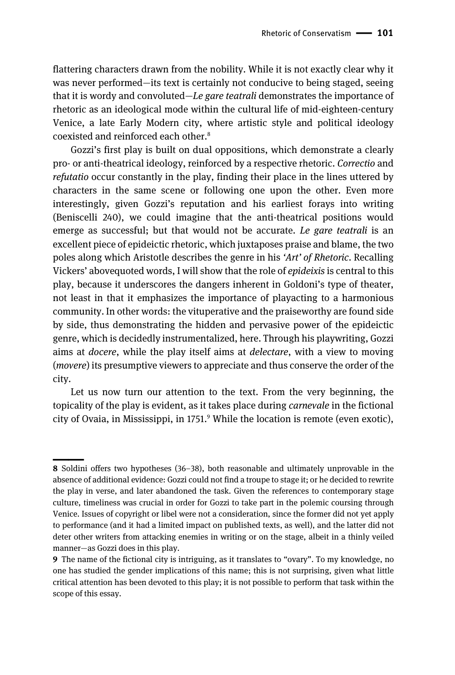flattering characters drawn from the nobility. While it is not exactly clear why it was never performed—its text is certainly not conducive to being staged, seeing that it is wordy and convoluted—*Le gare teatrali* demonstrates the importance of rhetoric as an ideological mode within the cultural life of mid-eighteen-century Venice, a late Early Modern city, where artistic style and political ideology coexisted and reinforced each other.<sup>8</sup>

Gozzi's first play is built on dual oppositions, which demonstrate a clearly pro- or anti-theatrical ideology, reinforced by a respective rhetoric. *Correctio* and *refutatio* occur constantly in the play, finding their place in the lines uttered by characters in the same scene or following one upon the other. Even more interestingly, given Gozzi's reputation and his earliest forays into writing (Beniscelli 240), we could imagine that the anti-theatrical positions would emerge as successful; but that would not be accurate. *Le gare teatrali* is an excellent piece of epideictic rhetoric, which juxtaposes praise and blame, the two poles along which Aristotle describes the genre in his *'Art' of Rhetoric*. Recalling Vickers' abovequoted words, I will show that the role of *epideixis* is central to this play, because it underscores the dangers inherent in Goldoni's type of theater, not least in that it emphasizes the importance of playacting to a harmonious community. In other words: the vituperative and the praiseworthy are found side by side, thus demonstrating the hidden and pervasive power of the epideictic genre, which is decidedly instrumentalized, here. Through his playwriting, Gozzi aims at *docere*, while the play itself aims at *delectare*, with a view to moving (*movere*) its presumptive viewers to appreciate and thus conserve the order of the city.

 Let us now turn our attention to the text. From the very beginning, the topicality of the play is evident, as it takes place during *carnevale* in the fictional city of Ovaia, in Mississippi, in 1751.<sup>9</sup> While the location is remote (even exotic),

<sup>||</sup>  **8** Soldini offers two hypotheses (36–38), both reasonable and ultimately unprovable in the absence of additional evidence: Gozzi could not find a troupe to stage it; or he decided to rewrite the play in verse, and later abandoned the task. Given the references to contemporary stage culture, timeliness was crucial in order for Gozzi to take part in the polemic coursing through Venice. Issues of copyright or libel were not a consideration, since the former did not yet apply to performance (and it had a limited impact on published texts, as well), and the latter did not deter other writers from attacking enemies in writing or on the stage, albeit in a thinly veiled manner—as Gozzi does in this play.

**<sup>9</sup>** The name of the fictional city is intriguing, as it translates to "ovary". To my knowledge, no one has studied the gender implications of this name; this is not surprising, given what little critical attention has been devoted to this play; it is not possible to perform that task within the scope of this essay.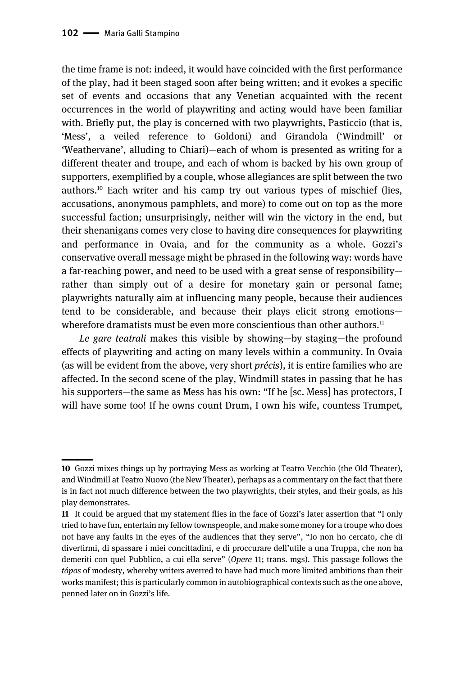the time frame is not: indeed, it would have coincided with the first performance of the play, had it been staged soon after being written; and it evokes a specific set of events and occasions that any Venetian acquainted with the recent occurrences in the world of playwriting and acting would have been familiar with. Briefly put, the play is concerned with two playwrights, Pasticcio (that is, 'Mess', a veiled reference to Goldoni) and Girandola ('Windmill' or 'Weathervane', alluding to Chiari)—each of whom is presented as writing for a different theater and troupe, and each of whom is backed by his own group of supporters, exemplified by a couple, whose allegiances are split between the two authors.<sup>10</sup> Each writer and his camp try out various types of mischief (lies, accusations, anonymous pamphlets, and more) to come out on top as the more successful faction; unsurprisingly, neither will win the victory in the end, but their shenanigans comes very close to having dire consequences for playwriting and performance in Ovaia, and for the community as a whole. Gozzi's conservative overall message might be phrased in the following way: words have a far-reaching power, and need to be used with a great sense of responsibility rather than simply out of a desire for monetary gain or personal fame; playwrights naturally aim at influencing many people, because their audiences tend to be considerable, and because their plays elicit strong emotions wherefore dramatists must be even more conscientious than other authors.<sup>11</sup>

*Le gare teatrali* makes this visible by showing—by staging—the profound effects of playwriting and acting on many levels within a community. In Ovaia (as will be evident from the above, very short *précis*), it is entire families who are affected. In the second scene of the play, Windmill states in passing that he has his supporters—the same as Mess has his own: "If he [sc. Mess] has protectors, I will have some too! If he owns count Drum, I own his wife, countess Trumpet,

<sup>||</sup>  **10** Gozzi mixes things up by portraying Mess as working at Teatro Vecchio (the Old Theater), and Windmill at Teatro Nuovo (the New Theater), perhaps as a commentary on the fact that there is in fact not much difference between the two playwrights, their styles, and their goals, as his play demonstrates.

**<sup>11</sup>** It could be argued that my statement flies in the face of Gozzi's later assertion that "I only tried to have fun, entertain my fellow townspeople, and make some money for a troupe who does not have any faults in the eyes of the audiences that they serve", "Io non ho cercato, che di divertirmi, di spassare i miei concittadini, e di proccurare dell'utile a una Truppa, che non ha demeriti con quel Pubblico, a cui ella serve" (*Opere* 11; trans. mgs). This passage follows the *tópos* of modesty, whereby writers averred to have had much more limited ambitions than their works manifest; this is particularly common in autobiographical contexts such as the one above, penned later on in Gozzi's life.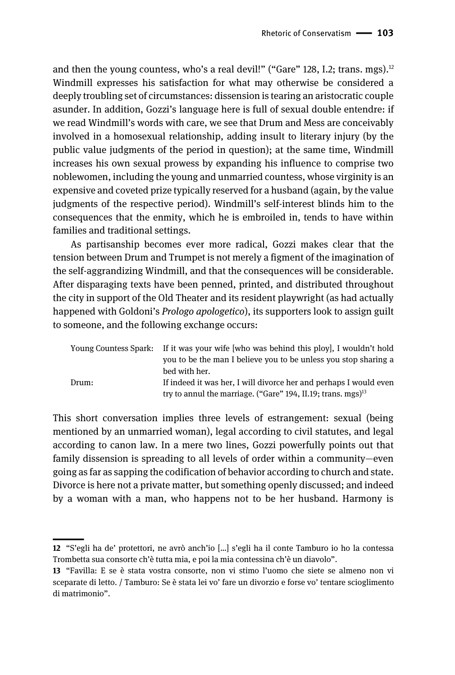and then the young countess, who's a real devil!" ("Gare" 128, I.2; trans. mgs). $<sup>12</sup>$ </sup> Windmill expresses his satisfaction for what may otherwise be considered a deeply troubling set of circumstances: dissension is tearing an aristocratic couple asunder. In addition, Gozzi's language here is full of sexual double entendre: if we read Windmill's words with care, we see that Drum and Mess are conceivably involved in a homosexual relationship, adding insult to literary injury (by the public value judgments of the period in question); at the same time, Windmill increases his own sexual prowess by expanding his influence to comprise two noblewomen, including the young and unmarried countess, whose virginity is an expensive and coveted prize typically reserved for a husband (again, by the value judgments of the respective period). Windmill's self-interest blinds him to the consequences that the enmity, which he is embroiled in, tends to have within families and traditional settings.

 As partisanship becomes ever more radical, Gozzi makes clear that the tension between Drum and Trumpet is not merely a figment of the imagination of the self-aggrandizing Windmill, and that the consequences will be considerable. After disparaging texts have been penned, printed, and distributed throughout the city in support of the Old Theater and its resident playwright (as had actually happened with Goldoni's *Prologo apologetico*), its supporters look to assign guilt to someone, and the following exchange occurs:

|       | Young Countess Spark: If it was your wife who was behind this ploy, I wouldn't hold |
|-------|-------------------------------------------------------------------------------------|
|       | you to be the man I believe you to be unless you stop sharing a                     |
|       | bed with her.                                                                       |
| Drum: | If indeed it was her, I will divorce her and perhaps I would even                   |
|       | try to annul the marriage. ("Gare" 194, II.19; trans. mgs) <sup>13</sup>            |

This short conversation implies three levels of estrangement: sexual (being mentioned by an unmarried woman), legal according to civil statutes, and legal according to canon law. In a mere two lines, Gozzi powerfully points out that family dissension is spreading to all levels of order within a community—even going as far as sapping the codification of behavior according to church and state. Divorce is here not a private matter, but something openly discussed; and indeed by a woman with a man, who happens not to be her husband. Harmony is

<sup>||</sup>  **12** "S'egli ha de' protettori, ne avrò anch'io […] s'egli ha il conte Tamburo io ho la contessa Trombetta sua consorte ch'è tutta mia, e poi la mia contessina ch'è un diavolo".

**<sup>13</sup>** "Favilla: E se è stata vostra consorte, non vi stimo l'uomo che siete se almeno non vi sceparate di letto. / Tamburo: Se è stata lei vo' fare un divorzio e forse vo' tentare scioglimento di matrimonio".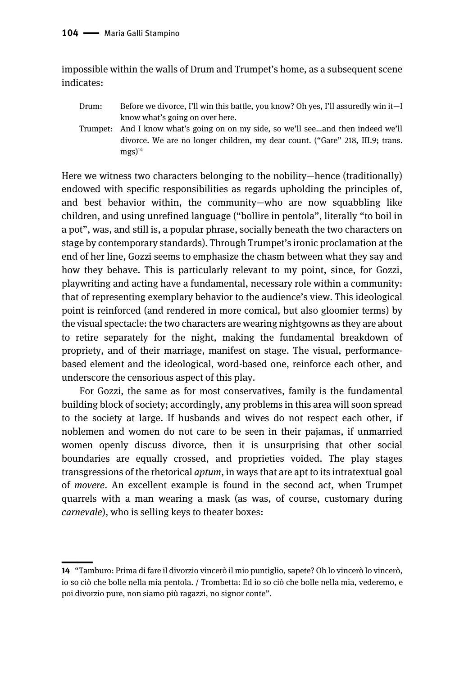impossible within the walls of Drum and Trumpet's home, as a subsequent scene indicates:

- Drum: Before we divorce, I'll win this battle, you know? Oh yes, I'll assuredly win it—I know what's going on over here.
- Trumpet: And I know what's going on on my side, so we'll see…and then indeed we'll divorce. We are no longer children, my dear count. ("Gare" 218, III.9; trans.  $mgs)$ <sup>14</sup>

Here we witness two characters belonging to the nobility—hence (traditionally) endowed with specific responsibilities as regards upholding the principles of, and best behavior within, the community—who are now squabbling like children, and using unrefined language ("bollire in pentola", literally "to boil in a pot", was, and still is, a popular phrase, socially beneath the two characters on stage by contemporary standards). Through Trumpet's ironic proclamation at the end of her line, Gozzi seems to emphasize the chasm between what they say and how they behave. This is particularly relevant to my point, since, for Gozzi, playwriting and acting have a fundamental, necessary role within a community: that of representing exemplary behavior to the audience's view. This ideological point is reinforced (and rendered in more comical, but also gloomier terms) by the visual spectacle: the two characters are wearing nightgowns as they are about to retire separately for the night, making the fundamental breakdown of propriety, and of their marriage, manifest on stage. The visual, performancebased element and the ideological, word-based one, reinforce each other, and underscore the censorious aspect of this play.

 For Gozzi, the same as for most conservatives, family is the fundamental building block of society; accordingly, any problems in this area will soon spread to the society at large. If husbands and wives do not respect each other, if noblemen and women do not care to be seen in their pajamas, if unmarried women openly discuss divorce, then it is unsurprising that other social boundaries are equally crossed, and proprieties voided. The play stages transgressions of the rhetorical *aptum*, in ways that are apt to its intratextual goal of *movere*. An excellent example is found in the second act, when Trumpet quarrels with a man wearing a mask (as was, of course, customary during *carnevale*), who is selling keys to theater boxes:

<sup>||</sup>  **14** "Tamburo: Prima di fare il divorzio vincerò il mio puntiglio, sapete? Oh lo vincerò lo vincerò, io so ciò che bolle nella mia pentola. / Trombetta: Ed io so ciò che bolle nella mia, vederemo, e poi divorzio pure, non siamo più ragazzi, no signor conte".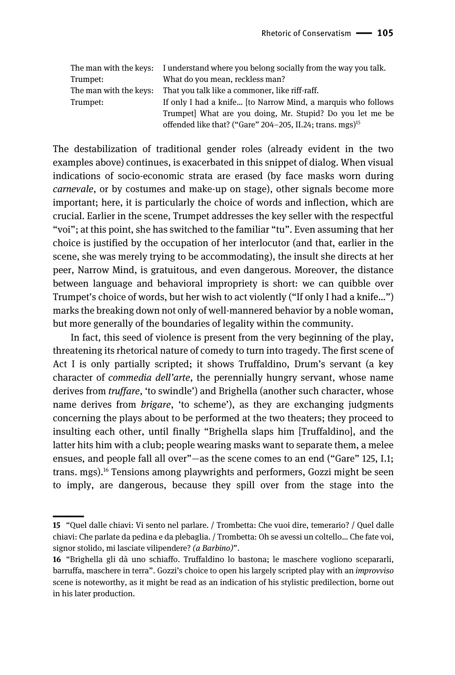|                        | The man with the keys: I understand where you belong socially from the way you talk. |
|------------------------|--------------------------------------------------------------------------------------|
| Trumpet:               | What do you mean, reckless man?                                                      |
| The man with the keys: | That you talk like a commoner, like riff-raff.                                       |
| Trumpet:               | If only I had a knife [to Narrow Mind, a marquis who follows                         |
|                        | Trumpet What are you doing, Mr. Stupid? Do you let me be                             |
|                        | offended like that? ("Gare" 204–205, II.24; trans. mgs) <sup>15</sup>                |

The destabilization of traditional gender roles (already evident in the two examples above) continues, is exacerbated in this snippet of dialog. When visual indications of socio-economic strata are erased (by face masks worn during *carnevale*, or by costumes and make-up on stage), other signals become more important; here, it is particularly the choice of words and inflection, which are crucial. Earlier in the scene, Trumpet addresses the key seller with the respectful "voi"; at this point, she has switched to the familiar "tu". Even assuming that her choice is justified by the occupation of her interlocutor (and that, earlier in the scene, she was merely trying to be accommodating), the insult she directs at her peer, Narrow Mind, is gratuitous, and even dangerous. Moreover, the distance between language and behavioral impropriety is short: we can quibble over Trumpet's choice of words, but her wish to act violently ("If only I had a knife…") marks the breaking down not only of well-mannered behavior by a noble woman, but more generally of the boundaries of legality within the community.

 In fact, this seed of violence is present from the very beginning of the play, threatening its rhetorical nature of comedy to turn into tragedy. The first scene of Act I is only partially scripted; it shows Truffaldino, Drum's servant (a key character of *commedia dell'arte*, the perennially hungry servant, whose name derives from *truffare*, 'to swindle') and Brighella (another such character, whose name derives from *brigare*, 'to scheme'), as they are exchanging judgments concerning the plays about to be performed at the two theaters; they proceed to insulting each other, until finally "Brighella slaps him [Truffaldino], and the latter hits him with a club; people wearing masks want to separate them, a melee ensues, and people fall all over"—as the scene comes to an end ("Gare" 125, I.1; trans. mgs).<sup>16</sup> Tensions among playwrights and performers, Gozzi might be seen to imply, are dangerous, because they spill over from the stage into the

<sup>||</sup>  **15** "Quel dalle chiavi: Vi sento nel parlare. / Trombetta: Che vuoi dire, temerario? / Quel dalle chiavi: Che parlate da pedina e da plebaglia. / Trombetta: Oh se avessi un coltello… Che fate voi, signor stolido, mi lasciate vilipendere? *(a Barbino)*".

**<sup>16</sup>** "Brighella gli dà uno schiaffo. Truffaldino lo bastona; le maschere vogliono scepararli, barruffa, maschere in terra". Gozzi's choice to open his largely scripted play with an *improvviso* scene is noteworthy, as it might be read as an indication of his stylistic predilection, borne out in his later production.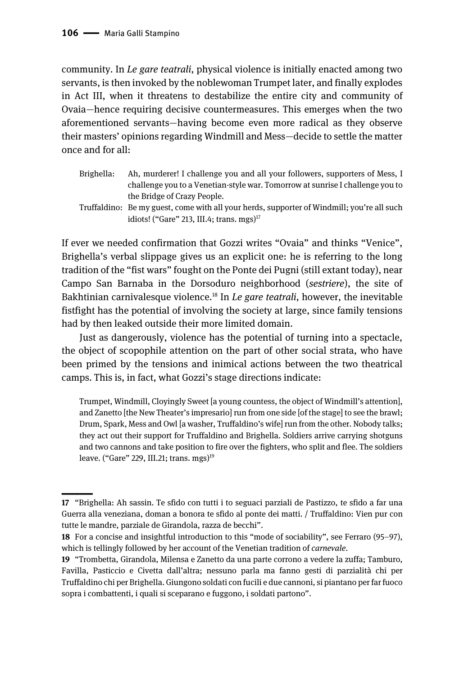community. In *Le gare teatrali*, physical violence is initially enacted among two servants, is then invoked by the noblewoman Trumpet later, and finally explodes in Act III, when it threatens to destabilize the entire city and community of Ovaia—hence requiring decisive countermeasures. This emerges when the two aforementioned servants—having become even more radical as they observe their masters' opinions regarding Windmill and Mess—decide to settle the matter once and for all:

| Brighella: | Ah, murderer! I challenge you and all your followers, supporters of Mess, I                |
|------------|--------------------------------------------------------------------------------------------|
|            | challenge you to a Venetian-style war. Tomorrow at sunrise I challenge you to              |
|            | the Bridge of Crazy People.                                                                |
|            | Truffaldino: Be my guest, come with all your herds, supporter of Windmill; you're all such |

I; you re all su idiots! ("Gare" 213, III.4; trans. mgs) $17$ 

If ever we needed confirmation that Gozzi writes "Ovaia" and thinks "Venice", Brighella's verbal slippage gives us an explicit one: he is referring to the long tradition of the "fist wars" fought on the Ponte dei Pugni (still extant today), near Campo San Barnaba in the Dorsoduro neighborhood (*sestriere*), the site of Bakhtinian carnivalesque violence.<sup>18</sup> In *Le gare teatrali*, however, the inevitable fistfight has the potential of involving the society at large, since family tensions had by then leaked outside their more limited domain.

 Just as dangerously, violence has the potential of turning into a spectacle, the object of scopophile attention on the part of other social strata, who have been primed by the tensions and inimical actions between the two theatrical camps. This is, in fact, what Gozzi's stage directions indicate:

Trumpet, Windmill, Cloyingly Sweet [a young countess, the object of Windmill's attention], and Zanetto [the New Theater's impresario] run from one side [of the stage] to see the brawl; Drum, Spark, Mess and Owl [a washer, Truffaldino's wife] run from the other. Nobody talks; they act out their support for Truffaldino and Brighella. Soldiers arrive carrying shotguns and two cannons and take position to fire over the fighters, who split and flee. The soldiers leave. ("Gare" 229, III.21; trans. mgs)<sup>19</sup>

<sup>————</sup> **17** "Brighella: Ah sassin. Te sfido con tutti i to seguaci parziali de Pastizzo, te sfido a far una Guerra alla veneziana, doman a bonora te sfido al ponte dei matti. / Truffaldino: Vien pur con tutte le mandre, parziale de Girandola, razza de becchi".

**<sup>18</sup>** For a concise and insightful introduction to this "mode of sociability", see Ferraro (95–97), which is tellingly followed by her account of the Venetian tradition of *carnevale*.

**<sup>19</sup>** "Trombetta, Girandola, Milensa e Zanetto da una parte corrono a vedere la zuffa; Tamburo, Favilla, Pasticcio e Civetta dall'altra; nessuno parla ma fanno gesti di parzialità chi per Truffaldino chi per Brighella. Giungono soldati con fucili e due cannoni, si piantano per far fuoco sopra i combattenti, i quali si sceparano e fuggono, i soldati partono".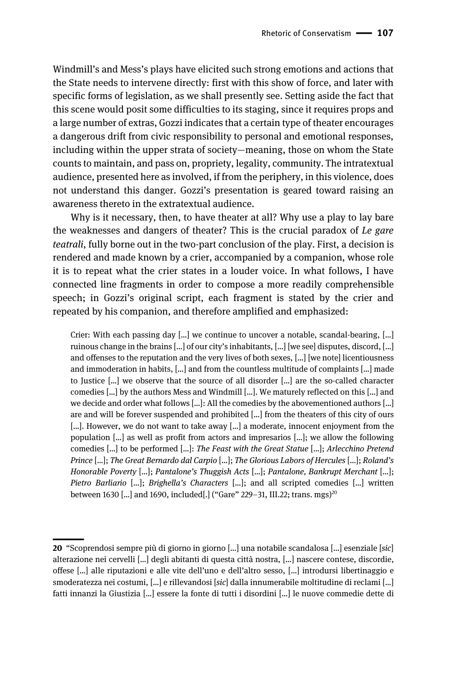Windmill's and Mess's plays have elicited such strong emotions and actions that the State needs to intervene directly: first with this show of force, and later with specific forms of legislation, as we shall presently see. Setting aside the fact that this scene would posit some difficulties to its staging, since it requires props and a large number of extras, Gozzi indicates that a certain type of theater encourages a dangerous drift from civic responsibility to personal and emotional responses, including within the upper strata of society—meaning, those on whom the State counts to maintain, and pass on, propriety, legality, community. The intratextual audience, presented here as involved, if from the periphery, in this violence, does not understand this danger. Gozzi's presentation is geared toward raising an awareness thereto in the extratextual audience.

 Why is it necessary, then, to have theater at all? Why use a play to lay bare the weaknesses and dangers of theater? This is the crucial paradox of *Le gare teatrali*, fully borne out in the two-part conclusion of the play. First, a decision is rendered and made known by a crier, accompanied by a companion, whose role it is to repeat what the crier states in a louder voice. In what follows, I have connected line fragments in order to compose a more readily comprehensible speech; in Gozzi's original script, each fragment is stated by the crier and repeated by his companion, and therefore amplified and emphasized:

Crier: With each passing day [...] we continue to uncover a notable, scandal-bearing, [...] ruinous change in the brains […] of our city's inhabitants, […] [we see] disputes, discord, […] and offenses to the reputation and the very lives of both sexes, [...] [we note] licentiousness and immoderation in habits, […] and from the countless multitude of complaints […] made to Justice […] we observe that the source of all disorder […] are the so-called character comedies […] by the authors Mess and Windmill […]. We maturely reflected on this […] and we decide and order what follows […]: All the comedies by the abovementioned authors […] are and will be forever suspended and prohibited […] from the theaters of this city of ours [...]. However, we do not want to take away [...] a moderate, innocent enjoyment from the population […] as well as profit from actors and impresarios […]; we allow the following comedies […] to be performed […]: *The Feast with the Great Statue* […]; *Arlecchino Pretend Prince* […]; *The Great Bernardo dal Carpio* […]; *The Glorious Labors of Hercules* […]; *Roland's Honorable Poverty* […]; *Pantalone's Thuggish Acts* […]; *Pantalone, Bankrupt Merchant* […]; *Pietro Barliario* […]; *Brighella's Characters* […]; and all scripted comedies […] written between 1630 [...] and 1690, included[.] ("Gare" 229-31, III.22; trans. mgs)<sup>20</sup>

<sup>||</sup>  **20** "Scoprendosi sempre più di giorno in giorno […] una notabile scandalosa […] esenziale [*sic*] alterazione nei cervelli […] degli abitanti di questa città nostra, […] nascere contese, discordie, offese […] alle riputazioni e alle vite dell'uno e dell'altro sesso, […] introdursi libertinaggio e smoderatezza nei costumi, […] e rillevandosi [*sic*] dalla innumerabile moltitudine di reclami […] fatti innanzi la Giustizia […] essere la fonte di tutti i disordini […] le nuove commedie dette di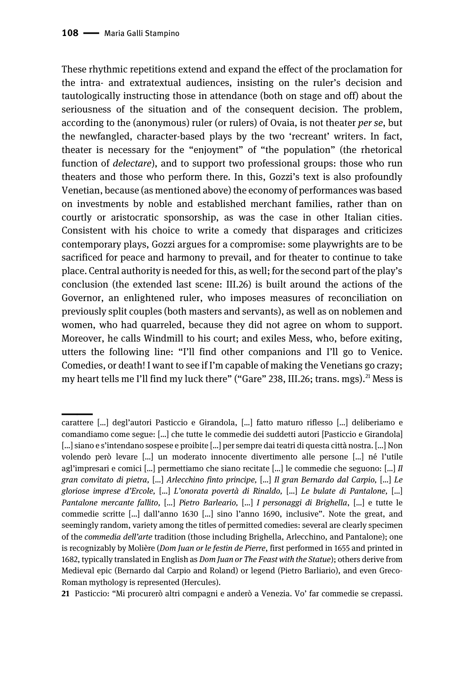These rhythmic repetitions extend and expand the effect of the proclamation for the intra- and extratextual audiences, insisting on the ruler's decision and tautologically instructing those in attendance (both on stage and off) about the seriousness of the situation and of the consequent decision. The problem, according to the (anonymous) ruler (or rulers) of Ovaia, is not theater *per se*, but the newfangled, character-based plays by the two 'recreant' writers. In fact, theater is necessary for the "enjoyment" of "the population" (the rhetorical function of *delectare*), and to support two professional groups: those who run theaters and those who perform there. In this, Gozzi's text is also profoundly Venetian, because (as mentioned above) the economy of performances was based on investments by noble and established merchant families, rather than on courtly or aristocratic sponsorship, as was the case in other Italian cities. Consistent with his choice to write a comedy that disparages and criticizes contemporary plays, Gozzi argues for a compromise: some playwrights are to be sacrificed for peace and harmony to prevail, and for theater to continue to take place. Central authority is needed for this, as well; for the second part of the play's conclusion (the extended last scene: III.26) is built around the actions of the Governor, an enlightened ruler, who imposes measures of reconciliation on previously split couples (both masters and servants), as well as on noblemen and women, who had quarreled, because they did not agree on whom to support. Moreover, he calls Windmill to his court; and exiles Mess, who, before exiting, utters the following line: "I'll find other companions and I'll go to Venice. Comedies, or death! I want to see if I'm capable of making the Venetians go crazy; my heart tells me I'll find my luck there" ("Gare" 238, III.26; trans. mgs).<sup>21</sup> Mess is

<sup>———</sup> carattere […] degl'autori Pasticcio e Girandola, […] fatto maturo riflesso […] deliberiamo e comandiamo come segue: […] che tutte le commedie dei suddetti autori [Pasticcio e Girandola] […] siano e s'intendano sospese e proibite […] per sempre dai teatri di questa città nostra. […] Non volendo però levare […] un moderato innocente divertimento alle persone […] né l'utile agl'impresari e comici […] permettiamo che siano recitate […] le commedie che seguono: […] *Il gran convitato di pietra,* […] *Arlecchino finto principe,* […] *Il gran Bernardo dal Carpio,* […] *Le gloriose imprese d'Ercole,* […] *L'onorata povertà di Rinaldo,* […] *Le bulate di Pantalone,* […] *Pantalone mercante fallito,* […] *Pietro Barleario,* […] *I personaggi di Brighella*, […] e tutte le commedie scritte […] dall'anno 1630 […] sino l'anno 1690, inclusive". Note the great, and seemingly random, variety among the titles of permitted comedies: several are clearly specimen of the *commedia dell'arte* tradition (those including Brighella, Arlecchino, and Pantalone); one is recognizably by Molière (*Dom Juan or le festin de Pierre*, first performed in 1655 and printed in 1682, typically translated in English as *Dom Juan or The Feast with the Statue*); others derive from Medieval epic (Bernardo dal Carpio and Roland) or legend (Pietro Barliario), and even Greco-Roman mythology is represented (Hercules).

**<sup>21</sup>** Pasticcio: "Mi procurerò altri compagni e anderò a Venezia. Vo' far commedie se crepassi.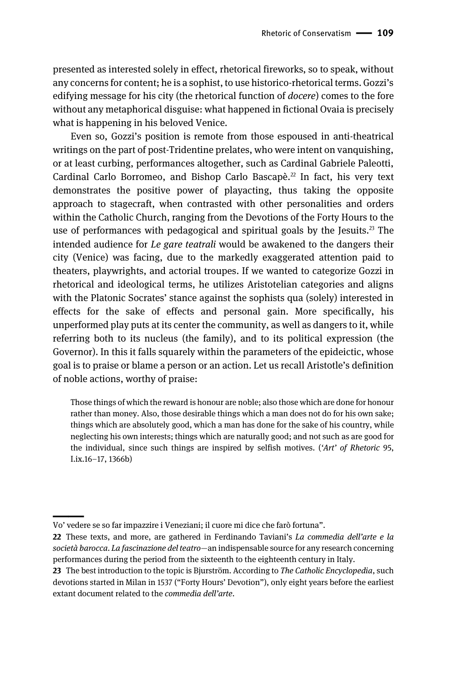presented as interested solely in effect, rhetorical fireworks, so to speak, without any concerns for content; he is a sophist, to use historico-rhetorical terms. Gozzi's edifying message for his city (the rhetorical function of *docere*) comes to the fore without any metaphorical disguise: what happened in fictional Ovaia is precisely what is happening in his beloved Venice.

 Even so, Gozzi's position is remote from those espoused in anti-theatrical writings on the part of post-Tridentine prelates, who were intent on vanquishing, or at least curbing, performances altogether, such as Cardinal Gabriele Paleotti, Cardinal Carlo Borromeo, and Bishop Carlo Bascapè.<sup>22</sup> In fact, his very text demonstrates the positive power of playacting, thus taking the opposite approach to stagecraft, when contrasted with other personalities and orders within the Catholic Church, ranging from the Devotions of the Forty Hours to the use of performances with pedagogical and spiritual goals by the Jesuits.<sup>23</sup> The intended audience for *Le gare teatrali* would be awakened to the dangers their city (Venice) was facing, due to the markedly exaggerated attention paid to theaters, playwrights, and actorial troupes. If we wanted to categorize Gozzi in rhetorical and ideological terms, he utilizes Aristotelian categories and aligns with the Platonic Socrates' stance against the sophists qua (solely) interested in effects for the sake of effects and personal gain. More specifically, his unperformed play puts at its center the community, as well as dangers to it, while referring both to its nucleus (the family), and to its political expression (the Governor). In this it falls squarely within the parameters of the epideictic, whose goal is to praise or blame a person or an action. Let us recall Aristotle's definition of noble actions, worthy of praise:

Those things of which the reward is honour are noble; also those which are done for honour rather than money. Also, those desirable things which a man does not do for his own sake; things which are absolutely good, which a man has done for the sake of his country, while neglecting his own interests; things which are naturally good; and not such as are good for the individual, since such things are inspired by selfish motives. (*'Art' of Rhetoric* 95, I.ix.16–17, 1366b)

<sup>————</sup> Vo' vedere se so far impazzire i Veneziani; il cuore mi dice che farò fortuna".

**<sup>22</sup>** These texts, and more, are gathered in Ferdinando Taviani's *La commedia dell'arte e la società barocca. La fascinazione del teatro*—an indispensable source for any research concerning performances during the period from the sixteenth to the eighteenth century in Italy.

**<sup>23</sup>** The best introduction to the topic is Bjurström. According to *The Catholic Encyclopedia*, such devotions started in Milan in 1537 ("Forty Hours' Devotion"), only eight years before the earliest extant document related to the *commedia dell'arte*.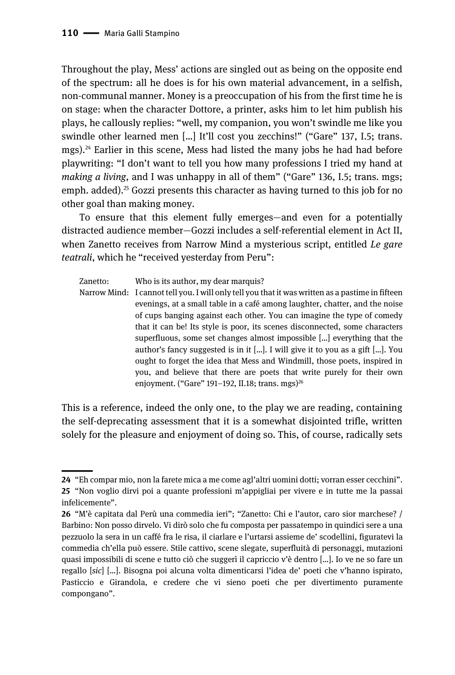Throughout the play, Mess' actions are singled out as being on the opposite end of the spectrum: all he does is for his own material advancement, in a selfish, non-communal manner. Money is a preoccupation of his from the first time he is on stage: when the character Dottore, a printer, asks him to let him publish his plays, he callously replies: "well, my companion, you won't swindle me like you swindle other learned men […] It'll cost you zecchins!" ("Gare" 137, I.5; trans. mgs).<sup>24</sup> Earlier in this scene, Mess had listed the many jobs he had had before playwriting: "I don't want to tell you how many professions I tried my hand at *making a living*, and I was unhappy in all of them" ("Gare" 136, I.5; trans. mgs; emph. added).<sup>25</sup> Gozzi presents this character as having turned to this job for no other goal than making money.

 To ensure that this element fully emerges—and even for a potentially distracted audience member—Gozzi includes a self-referential element in Act II, when Zanetto receives from Narrow Mind a mysterious script, entitled *Le gare teatrali*, which he "received yesterday from Peru":

Zanetto: Who is its author, my dear marquis? Narrow Mind: I cannot tell you. I will only tell you that it was written as a pastime in fifteen evenings, at a small table in a café among laughter, chatter, and the noise of cups banging against each other. You can imagine the type of comedy that it can be! Its style is poor, its scenes disconnected, some characters superfluous, some set changes almost impossible […] everything that the author's fancy suggested is in it […]. I will give it to you as a gift […]. You ought to forget the idea that Mess and Windmill, those poets, inspired in you, and believe that there are poets that write purely for their own enjoyment. ("Gare" 191-192, II.18; trans. mgs) $^{26}$ 

This is a reference, indeed the only one, to the play we are reading, containing the self-deprecating assessment that it is a somewhat disjointed trifle, written solely for the pleasure and enjoyment of doing so. This, of course, radically sets

<sup>||</sup>  **24** "Eh compar mio, non la farete mica a me come agl'altri uomini dotti; vorran esser cecchini". **25** "Non voglio dirvi poi a quante professioni m'appigliai per vivere e in tutte me la passai infelicemente".

**<sup>26</sup>** "M'è capitata dal Perù una commedia ieri"; "Zanetto: Chi e l'autor, caro sior marchese? / Barbino: Non posso dirvelo. Vi dirò solo che fu composta per passatempo in quindici sere a una pezzuolo la sera in un caffé fra le risa, il ciarlare e l'urtarsi assieme de' scodellini, figuratevi la commedia ch'ella può essere. Stile cattivo, scene slegate, superfluità di personaggi, mutazioni quasi impossibili di scene e tutto ciò che suggerì il capriccio v'è dentro […]. Io ve ne so fare un regallo [*sic*] […]. Bisogna poi alcuna volta dimenticarsi l'idea de' poeti che v'hanno ispirato, Pasticcio e Girandola, e credere che vi sieno poeti che per divertimento puramente compongano".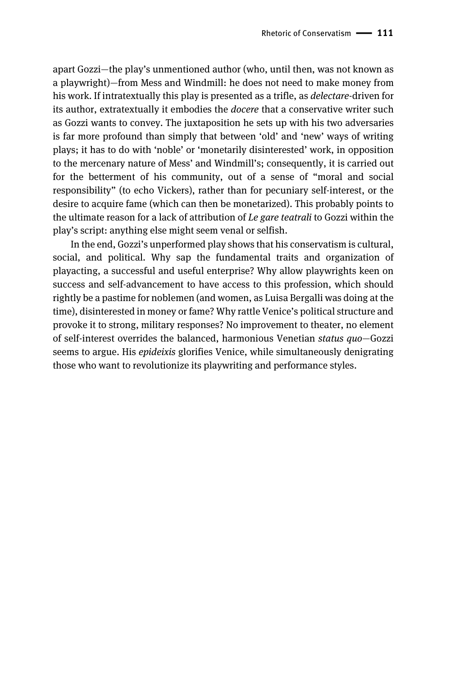apart Gozzi—the play's unmentioned author (who, until then, was not known as a playwright)—from Mess and Windmill: he does not need to make money from his work. If intratextually this play is presented as a trifle, as *delectare*-driven for its author, extratextually it embodies the *docere* that a conservative writer such as Gozzi wants to convey. The juxtaposition he sets up with his two adversaries is far more profound than simply that between 'old' and 'new' ways of writing plays; it has to do with 'noble' or 'monetarily disinterested' work, in opposition to the mercenary nature of Mess' and Windmill's; consequently, it is carried out for the betterment of his community, out of a sense of "moral and social responsibility" (to echo Vickers), rather than for pecuniary self-interest, or the desire to acquire fame (which can then be monetarized). This probably points to the ultimate reason for a lack of attribution of *Le gare teatrali* to Gozzi within the play's script: anything else might seem venal or selfish.

 In the end, Gozzi's unperformed play shows that his conservatism is cultural, social, and political. Why sap the fundamental traits and organization of playacting, a successful and useful enterprise? Why allow playwrights keen on success and self-advancement to have access to this profession, which should rightly be a pastime for noblemen (and women, as Luisa Bergalli was doing at the time), disinterested in money or fame? Why rattle Venice's political structure and provoke it to strong, military responses? No improvement to theater, no element of self-interest overrides the balanced, harmonious Venetian *status quo*—Gozzi seems to argue. His *epideixis* glorifies Venice, while simultaneously denigrating those who want to revolutionize its playwriting and performance styles.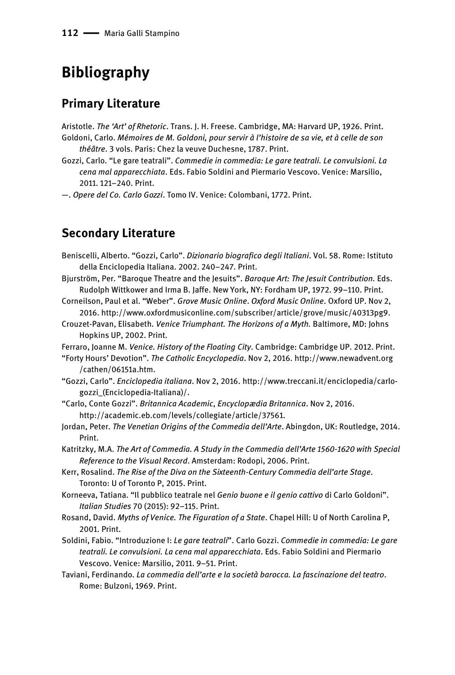# **Bibliography**

#### **Primary Literature**

Aristotle. *The 'Art' of Rhetoric*. Trans. J. H. Freese. Cambridge, MA: Harvard UP, 1926. Print. Goldoni, Carlo. *Mémoires de M. Goldoni, pour servir à l'histoire de sa vie, et à celle de son théâtre*. 3 vols. Paris: Chez la veuve Duchesne, 1787. Print.

- Gozzi, Carlo. "Le gare teatrali". *Commedie in commedia: Le gare teatrali. Le convulsioni. La cena mal apparecchiata*. Eds. Fabio Soldini and Piermario Vescovo. Venice: Marsilio, 2011. 121–240. Print.
- —. *Opere del Co. Carlo Gozzi*. Tomo IV. Venice: Colombani, 1772. Print.

### **Secondary Literature**

- Beniscelli, Alberto. "Gozzi, Carlo". *Dizionario biografico degli Italiani*. Vol. 58. Rome: Istituto della Enciclopedia Italiana. 2002. 240–247. Print.
- Bjurström, Per. "Baroque Theatre and the Jesuits". *Baroque Art: The Jesuit Contribution.* Eds. Rudolph Wittkower and Irma B. Jaffe. New York, NY: Fordham UP, 1972. 99–110. Print.
- Corneilson, Paul et al. "Weber". *Grove Music Online*. *Oxford Music Online*. Oxford UP. Nov 2, 2016. http://www.oxfordmusiconline.com/subscriber/article/grove/music/40313pg9.
- Crouzet-Pavan, Elisabeth. *Venice Triumphant. The Horizons of a Myth.* Baltimore, MD: Johns Hopkins UP, 2002. Print.
- Ferraro, Joanne M. *Venice. History of the Floating City*. Cambridge: Cambridge UP. 2012. Print.
- "Forty Hours' Devotion". *The Catholic Encyclopedia*. Nov 2, 2016. http://www.newadvent.org /cathen/06151a.htm.
- "Gozzi, Carlo". *Enciclopedia italiana*. Nov 2, 2016. http://www.treccani.it/enciclopedia/carlogozzi\_(Enciclopedia-Italiana)/.
- "Carlo, Conte Gozzi". *Britannica Academic*, *Encyclopædia Britannica*. Nov 2, 2016. http://academic.eb.com/levels/collegiate/article/37561.
- Jordan, Peter. *The Venetian Origins of the Commedia dell'Arte*. Abingdon, UK: Routledge, 2014. Print.
- Katritzky, M.A. *The Art of Commedia. A Study in the Commedia dell'Arte 1560-1620 with Special Reference to the Visual Record*. Amsterdam: Rodopi, 2006. Print.
- Kerr, Rosalind. *The Rise of the Diva on the Sixteenth-Century Commedia dell'arte Stage*. Toronto: U of Toronto P, 2015. Print.
- Korneeva, Tatiana. "Il pubblico teatrale nel *Genio buone e il genio cattivo* di Carlo Goldoni". *Italian Studies* 70 (2015): 92–115. Print.
- Rosand, David. *Myths of Venice. The Figuration of a State*. Chapel Hill: U of North Carolina P, 2001. Print.
- Soldini, Fabio. "Introduzione I: *Le gare teatrali*". Carlo Gozzi. *Commedie in commedia: Le gare teatrali. Le convulsioni. La cena mal apparecchiata*. Eds. Fabio Soldini and Piermario Vescovo. Venice: Marsilio, 2011. 9–51. Print.
- Taviani, Ferdinando. *La commedia dell'arte e la società barocca. La fascinazione del teatro*. Rome: Bulzoni, 1969. Print.